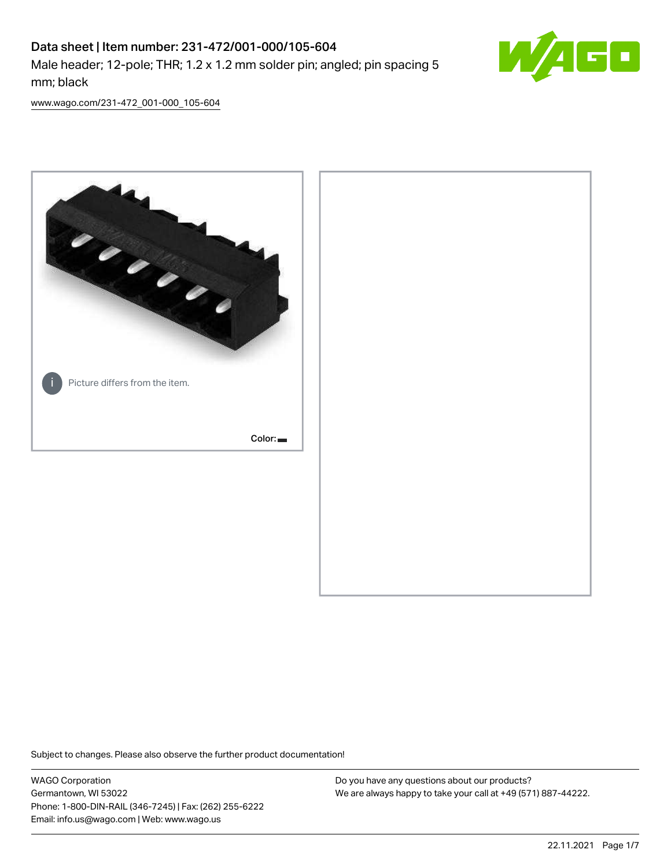# Data sheet | Item number: 231-472/001-000/105-604 Male header; 12-pole; THR; 1.2 x 1.2 mm solder pin; angled; pin spacing 5 mm; black



[www.wago.com/231-472\\_001-000\\_105-604](http://www.wago.com/231-472_001-000_105-604)



Subject to changes. Please also observe the further product documentation!

WAGO Corporation Germantown, WI 53022 Phone: 1-800-DIN-RAIL (346-7245) | Fax: (262) 255-6222 Email: info.us@wago.com | Web: www.wago.us

Do you have any questions about our products? We are always happy to take your call at +49 (571) 887-44222.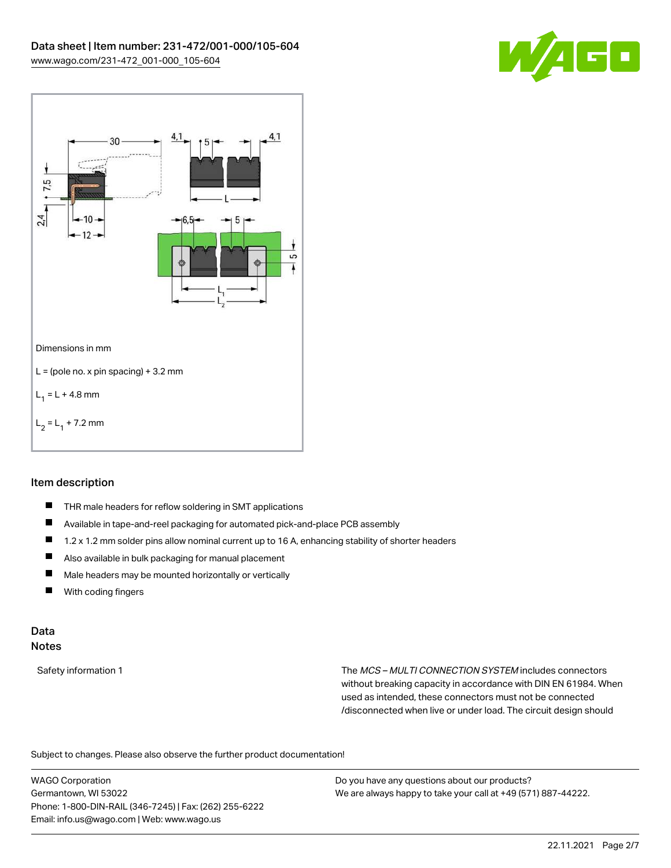



### Item description

- $\blacksquare$ THR male headers for reflow soldering in SMT applications
- $\blacksquare$ Available in tape-and-reel packaging for automated pick-and-place PCB assembly
- П 1.2 x 1.2 mm solder pins allow nominal current up to 16 A, enhancing stability of shorter headers
- П Also available in bulk packaging for manual placement
- $\blacksquare$ Male headers may be mounted horizontally or vertically
- $\blacksquare$ With coding fingers

#### Data Notes

Safety information 1 The MCS – MULTI CONNECTION SYSTEM includes connectors without breaking capacity in accordance with DIN EN 61984. When used as intended, these connectors must not be connected /disconnected when live or under load. The circuit design should

Subject to changes. Please also observe the further product documentation!  $\mathbf{e}$ 

WAGO Corporation Germantown, WI 53022 Phone: 1-800-DIN-RAIL (346-7245) | Fax: (262) 255-6222 Email: info.us@wago.com | Web: www.wago.us

Do you have any questions about our products? We are always happy to take your call at +49 (571) 887-44222.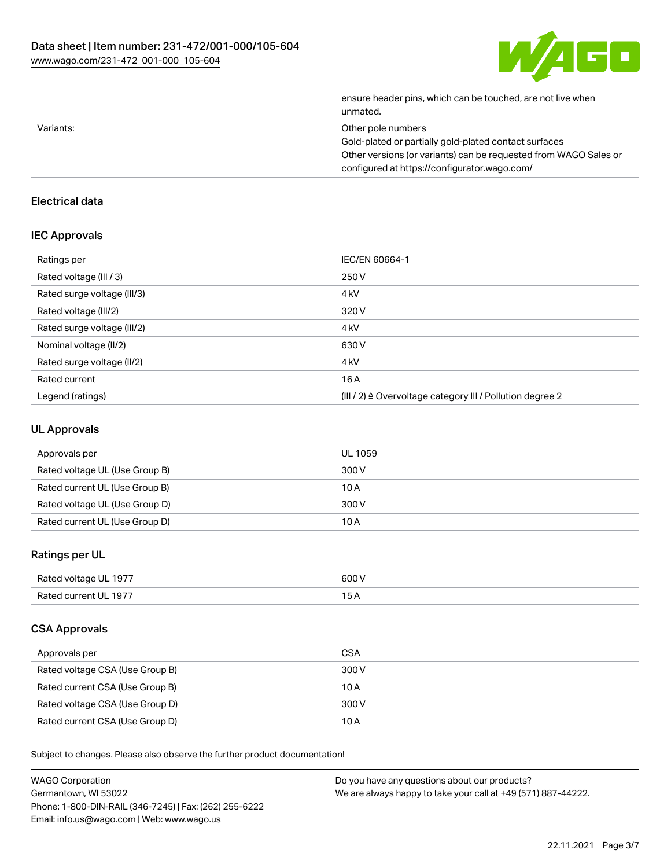

| ensure header pins, which can be touched, are not live when<br>unmated. |
|-------------------------------------------------------------------------|
| Other pole numbers                                                      |
| Gold-plated or partially gold-plated contact surfaces                   |
| Other versions (or variants) can be requested from WAGO Sales or        |
| configured at https://configurator.wago.com/                            |
|                                                                         |

## Electrical data

#### IEC Approvals

| Ratings per                 | IEC/EN 60664-1                                            |
|-----------------------------|-----------------------------------------------------------|
| Rated voltage (III / 3)     | 250 V                                                     |
| Rated surge voltage (III/3) | 4 <sub>k</sub> V                                          |
| Rated voltage (III/2)       | 320 V                                                     |
| Rated surge voltage (III/2) | 4 <sub>kV</sub>                                           |
| Nominal voltage (II/2)      | 630 V                                                     |
| Rated surge voltage (II/2)  | 4 <sub>k</sub> V                                          |
| Rated current               | 16A                                                       |
| Legend (ratings)            | (III / 2) ≙ Overvoltage category III / Pollution degree 2 |

# UL Approvals

| Approvals per                  | UL 1059 |
|--------------------------------|---------|
| Rated voltage UL (Use Group B) | 300 V   |
| Rated current UL (Use Group B) | 10 A    |
| Rated voltage UL (Use Group D) | 300 V   |
| Rated current UL (Use Group D) | 10 A    |

## Ratings per UL

| Rated voltage UL 1977 | 600 V |
|-----------------------|-------|
| Rated current UL 1977 |       |

### CSA Approvals

| Approvals per                   | CSA   |
|---------------------------------|-------|
| Rated voltage CSA (Use Group B) | 300 V |
| Rated current CSA (Use Group B) | 10 A  |
| Rated voltage CSA (Use Group D) | 300 V |
| Rated current CSA (Use Group D) | 10 A  |

Subject to changes. Please also observe the further product documentation!

| <b>WAGO Corporation</b>                                | Do you have any questions about our products?                 |
|--------------------------------------------------------|---------------------------------------------------------------|
| Germantown, WI 53022                                   | We are always happy to take your call at +49 (571) 887-44222. |
| Phone: 1-800-DIN-RAIL (346-7245)   Fax: (262) 255-6222 |                                                               |
| Email: info.us@wago.com   Web: www.wago.us             |                                                               |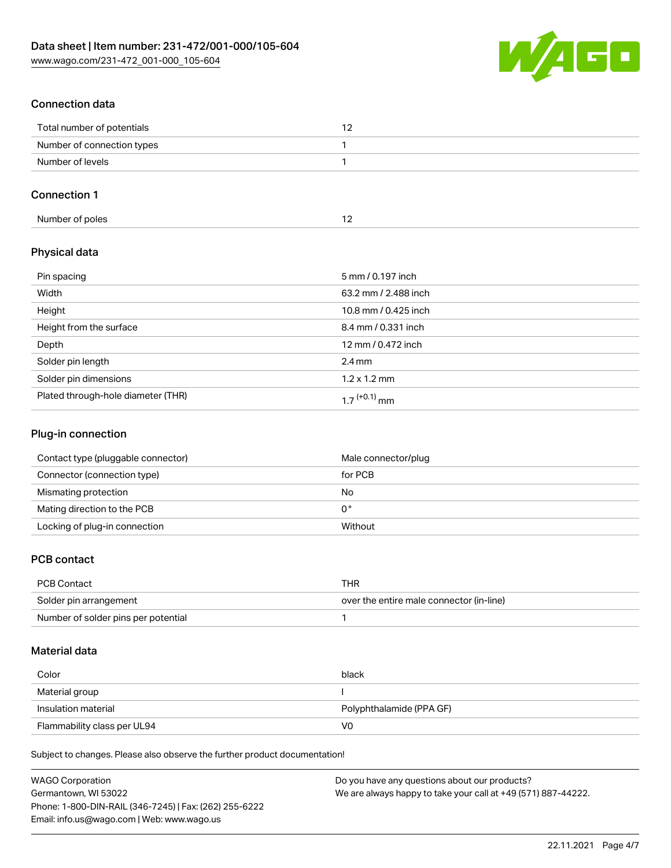

## Connection data

| Total number of potentials |  |
|----------------------------|--|
| Number of connection types |  |
| Number of levels           |  |

## Connection 1

| Number of poles |  |
|-----------------|--|
|-----------------|--|

### Physical data

| Pin spacing                        | 5 mm / 0.197 inch        |
|------------------------------------|--------------------------|
| Width                              | 63.2 mm / 2.488 inch     |
| Height                             | 10.8 mm / 0.425 inch     |
| Height from the surface            | 8.4 mm / 0.331 inch      |
| Depth                              | 12 mm / 0.472 inch       |
| Solder pin length                  | $2.4 \text{ mm}$         |
| Solder pin dimensions              | $1.2 \times 1.2$ mm      |
| Plated through-hole diameter (THR) | 1 7 <sup>(+0.1)</sup> mm |

### Plug-in connection

| Contact type (pluggable connector) | Male connector/plug |
|------------------------------------|---------------------|
| Connector (connection type)        | for PCB             |
| Mismating protection               | No                  |
| Mating direction to the PCB        | 0°                  |
| Locking of plug-in connection      | Without             |

#### PCB contact

| PCB Contact                         | THR                                      |
|-------------------------------------|------------------------------------------|
| Solder pin arrangement              | over the entire male connector (in-line) |
| Number of solder pins per potential |                                          |

### Material data

| Color                       | black                    |
|-----------------------------|--------------------------|
| Material group              |                          |
| Insulation material         | Polyphthalamide (PPA GF) |
| Flammability class per UL94 | V0                       |

Subject to changes. Please also observe the further product documentation!

| <b>WAGO Corporation</b>                                | Do you have any questions about our products?                 |
|--------------------------------------------------------|---------------------------------------------------------------|
| Germantown, WI 53022                                   | We are always happy to take your call at +49 (571) 887-44222. |
| Phone: 1-800-DIN-RAIL (346-7245)   Fax: (262) 255-6222 |                                                               |
| Email: info.us@wago.com   Web: www.wago.us             |                                                               |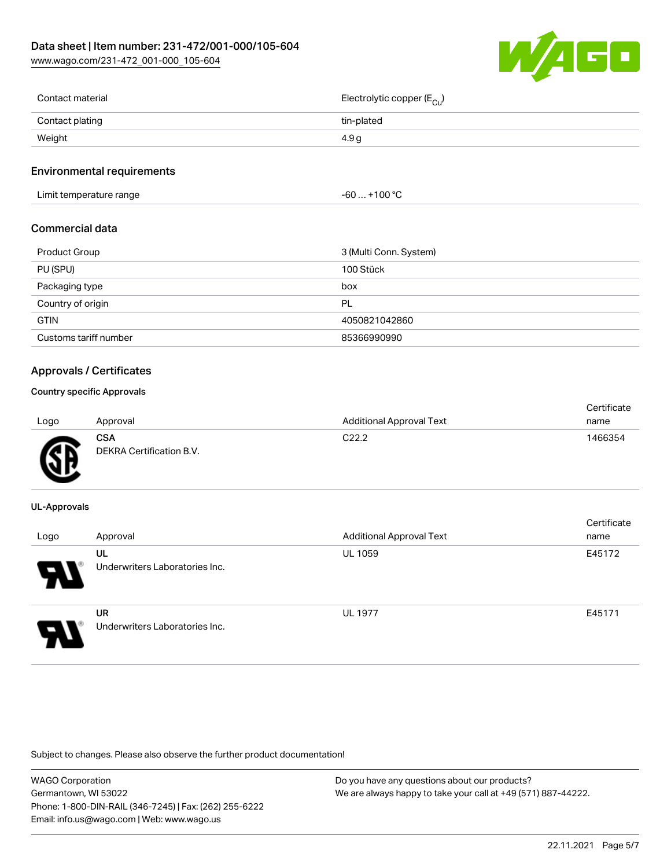

| Contact material | Electrolytic copper (E <sub>Cu</sub> ) |
|------------------|----------------------------------------|
| Contact plating  | tin-plated                             |
| Weight           | 4.9 a                                  |
|                  |                                        |

#### Environmental requirements

Limit temperature range  $-60... +100 °C$ 

#### Commercial data

| Product Group         | 3 (Multi Conn. System) |
|-----------------------|------------------------|
| PU (SPU)              | 100 Stück              |
| Packaging type        | box                    |
| Country of origin     | PL                     |
| <b>GTIN</b>           | 4050821042860          |
| Customs tariff number | 85366990990            |

#### Approvals / Certificates

#### Country specific Approvals

| Logo | Approval                               | <b>Additional Approval Text</b> | Certificate<br>name |
|------|----------------------------------------|---------------------------------|---------------------|
| Æ    | <b>CSA</b><br>DEKRA Certification B.V. | C <sub>22.2</sub>               | 1466354             |

#### UL-Approvals

| Logo | Approval                                    | <b>Additional Approval Text</b> | Certificate<br>name |
|------|---------------------------------------------|---------------------------------|---------------------|
| Р.   | UL<br>Underwriters Laboratories Inc.        | <b>UL 1059</b>                  | E45172              |
| o    | <b>UR</b><br>Underwriters Laboratories Inc. | <b>UL 1977</b>                  | E45171              |

Subject to changes. Please also observe the further product documentation!

| WAGO Corporation                                       | Do you have any questions about our products?                 |
|--------------------------------------------------------|---------------------------------------------------------------|
| Germantown, WI 53022                                   | We are always happy to take your call at +49 (571) 887-44222. |
| Phone: 1-800-DIN-RAIL (346-7245)   Fax: (262) 255-6222 |                                                               |
| Email: info.us@wago.com   Web: www.wago.us             |                                                               |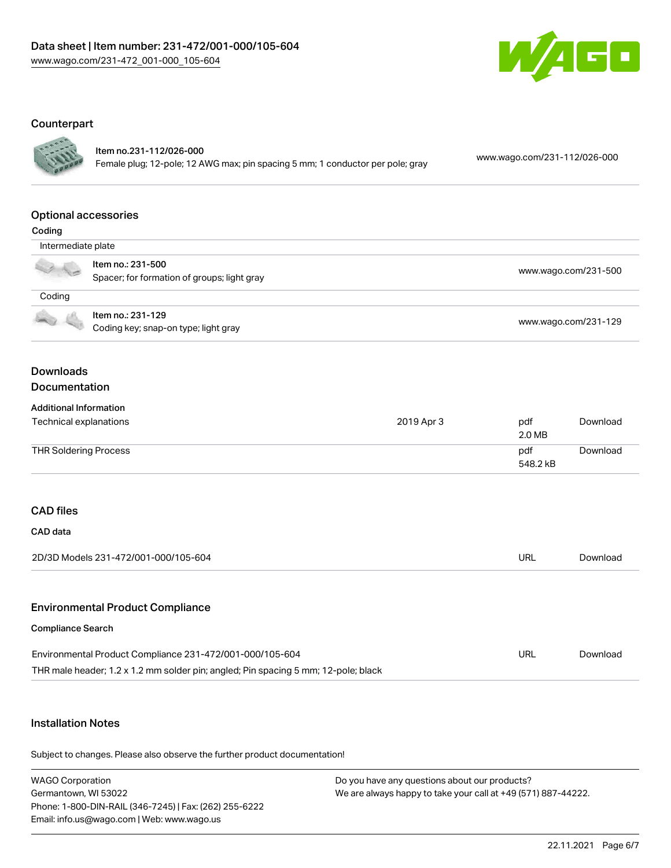

#### **Counterpart**



#### Item no.231-112/026-000

Female plug; 12-pole; 12 AWG max; pin spacing 5 mm; 1 conductor per pole; gray [www.wago.com/231-112/026-000](https://www.wago.com/231-112/026-000)

### Optional accessories

| ı |  |
|---|--|

| $-0.0119$          |                                                                  |                      |
|--------------------|------------------------------------------------------------------|----------------------|
| Intermediate plate |                                                                  |                      |
|                    | Item no.: 231-500<br>Spacer; for formation of groups; light gray | www.wago.com/231-500 |
| Coding             |                                                                  |                      |
|                    | Item no.: 231-129<br>Coding key; snap-on type; light gray        | www.wago.com/231-129 |

#### Downloads Documentation

#### Additional Information

| Technical explanations | 2019 Apr 3 | pdf<br>2.0 MB   | Download |
|------------------------|------------|-----------------|----------|
| THR Soldering Process  |            | pdf<br>548.2 kB | Download |

### CAD files

| CAD data                                    |          |
|---------------------------------------------|----------|
| 2D/3D Models 231-472/001-000/105-604<br>URL | Download |

#### Environmental Product Compliance

#### Compliance Search

| Environmental Product Compliance 231-472/001-000/105-604                           | URL | Download |
|------------------------------------------------------------------------------------|-----|----------|
| THR male header; 1.2 x 1.2 mm solder pin; angled; Pin spacing 5 mm; 12-pole; black |     |          |

### Installation Notes

Subject to changes. Please also observe the further product documentation!

WAGO Corporation Germantown, WI 53022 Phone: 1-800-DIN-RAIL (346-7245) | Fax: (262) 255-6222 Email: info.us@wago.com | Web: www.wago.us Do you have any questions about our products? We are always happy to take your call at +49 (571) 887-44222.